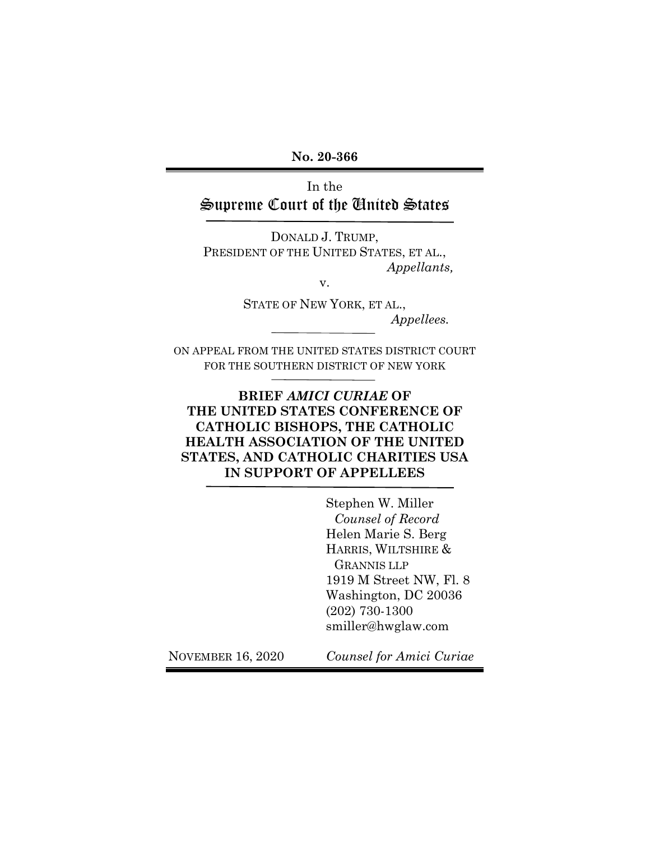**No. 20-366** 

In the Supreme Court of the United States

DONALD J. TRUMP, PRESIDENT OF THE UNITED STATES, ET AL., *Appellants,* 

v.

STATE OF NEW YORK, ET AL., *Appellees.* 

ON APPEAL FROM THE UNITED STATES DISTRICT COURT FOR THE SOUTHERN DISTRICT OF NEW YORK

## **BRIEF** *AMICI CURIAE* **OF THE UNITED STATES CONFERENCE OF CATHOLIC BISHOPS, THE CATHOLIC HEALTH ASSOCIATION OF THE UNITED STATES, AND CATHOLIC CHARITIES USA IN SUPPORT OF APPELLEES**

 Stephen W. Miller *Counsel of Record*  Helen Marie S. Berg HARRIS, WILTSHIRE & GRANNIS LLP 1919 M Street NW, Fl. 8 Washington, DC 20036 (202) 730-1300 smiller@hwglaw.com

NOVEMBER 16, 2020 *Counsel for Amici Curiae*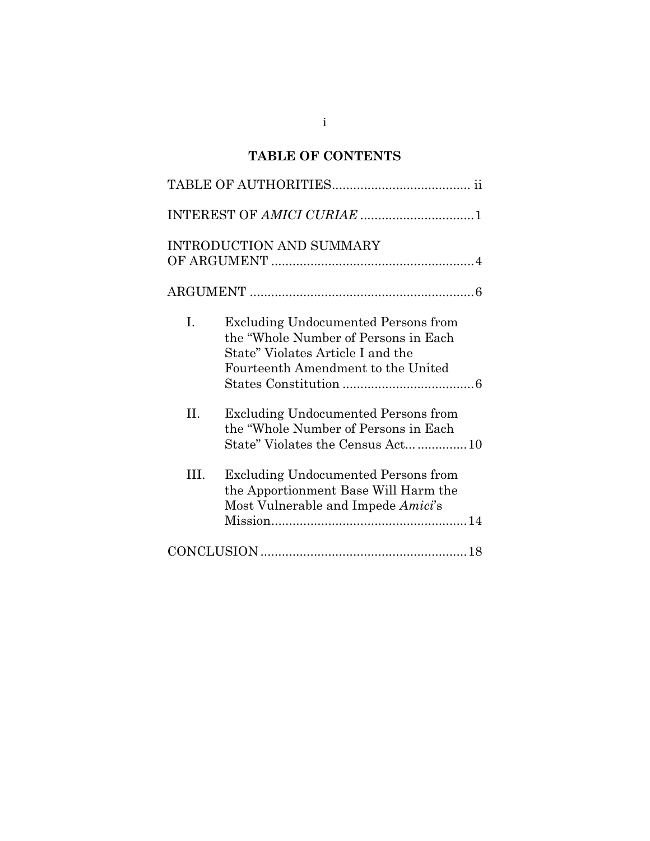# **TABLE OF CONTENTS**

|      | <b>INTRODUCTION AND SUMMARY</b>                                                                                                                               |
|------|---------------------------------------------------------------------------------------------------------------------------------------------------------------|
|      |                                                                                                                                                               |
| I.   | <b>Excluding Undocumented Persons from</b><br>the "Whole Number of Persons in Each<br>State" Violates Article I and the<br>Fourteenth Amendment to the United |
| II.  | <b>Excluding Undocumented Persons from</b><br>the "Whole Number of Persons in Each<br>State" Violates the Census Act10                                        |
| III. | <b>Excluding Undocumented Persons from</b><br>the Apportionment Base Will Harm the<br>Most Vulnerable and Impede Amici's                                      |
|      |                                                                                                                                                               |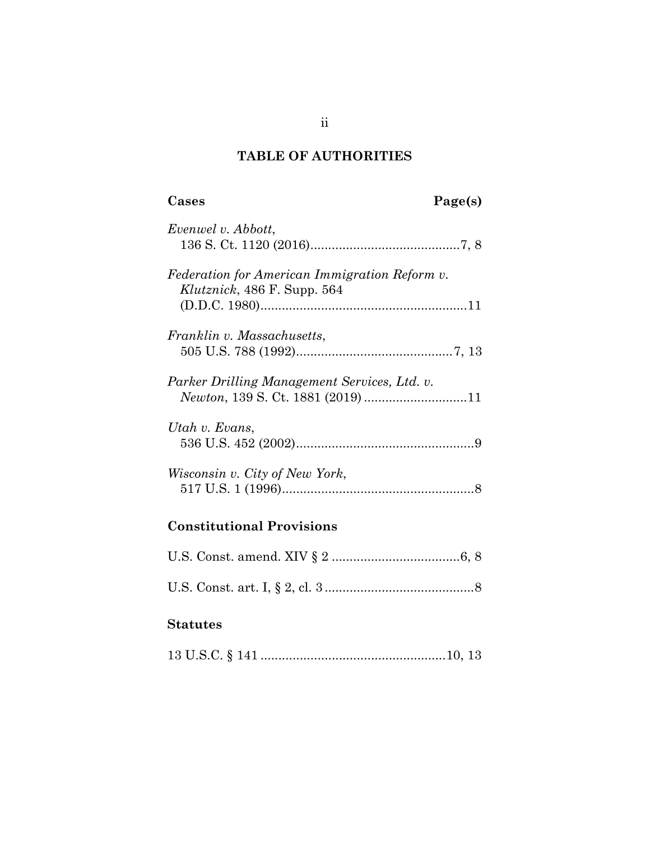## **TABLE OF AUTHORITIES**

# **Cases Page(s)**

| Evenwel v. Abbott,                                                             |
|--------------------------------------------------------------------------------|
| Federation for American Immigration Reform v.<br>Klutznick, 486 F. Supp. $564$ |
| Franklin v. Massachusetts,                                                     |
| Parker Drilling Management Services, Ltd. v.                                   |
| Utah v. Evans,                                                                 |
| Wisconsin v. City of New York,                                                 |

# **Constitutional Provisions**

## **Statutes**

|  |  |  | $13 \text{ U.S.C.} \S 141 \dots 10, 13$ |  |
|--|--|--|-----------------------------------------|--|
|--|--|--|-----------------------------------------|--|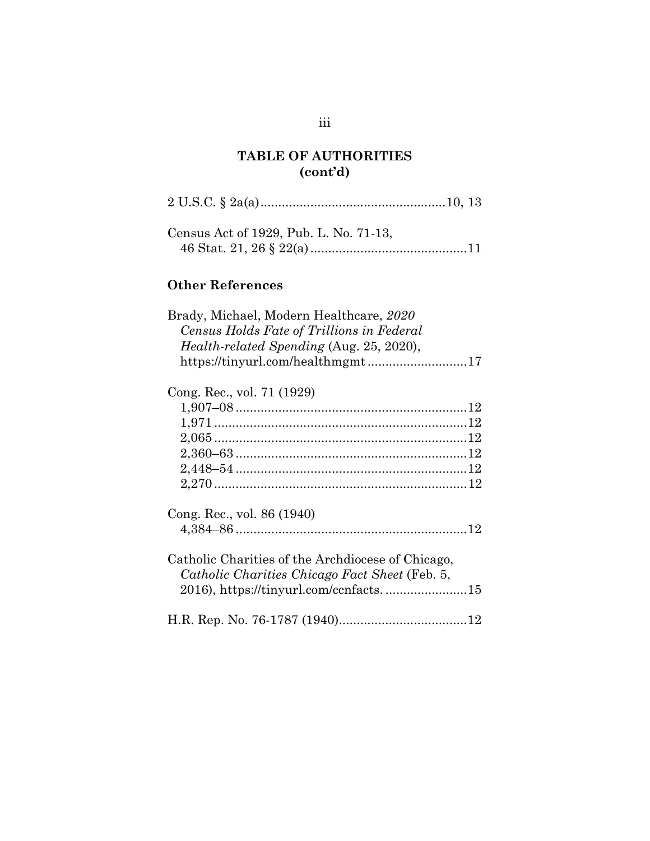## **TABLE OF AUTHORITIES (cont'd)**

| Census Act of 1929, Pub. L. No. 71-13,                                                                                                                               |
|----------------------------------------------------------------------------------------------------------------------------------------------------------------------|
| <b>Other References</b>                                                                                                                                              |
| Brady, Michael, Modern Healthcare, 2020<br>Census Holds Fate of Trillions in Federal<br>Health-related Spending (Aug. 25, 2020),<br>https://tinyurl.com/healthmgmt17 |
| Cong. Rec., vol. 71 (1929)                                                                                                                                           |
| Cong. Rec., vol. 86 (1940)                                                                                                                                           |
| Catholic Charities of the Archdiocese of Chicago,<br>Catholic Charities Chicago Fact Sheet (Feb. 5,                                                                  |
|                                                                                                                                                                      |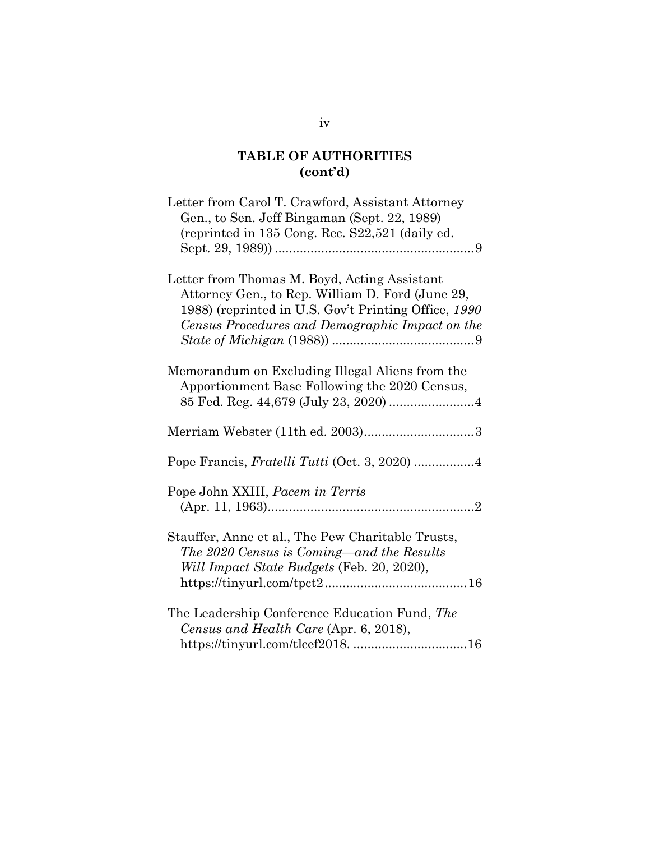## **TABLE OF AUTHORITIES (cont'd)**

| Letter from Carol T. Crawford, Assistant Attorney<br>Gen., to Sen. Jeff Bingaman (Sept. 22, 1989)<br>(reprinted in 135 Cong. Rec. S22,521 (daily ed.                                                        |
|-------------------------------------------------------------------------------------------------------------------------------------------------------------------------------------------------------------|
| Letter from Thomas M. Boyd, Acting Assistant<br>Attorney Gen., to Rep. William D. Ford (June 29,<br>1988) (reprinted in U.S. Gov't Printing Office, 1990<br>Census Procedures and Demographic Impact on the |
| Memorandum on Excluding Illegal Aliens from the<br>Apportionment Base Following the 2020 Census,                                                                                                            |
|                                                                                                                                                                                                             |
|                                                                                                                                                                                                             |
| Pope John XXIII, Pacem in Terris                                                                                                                                                                            |
| Stauffer, Anne et al., The Pew Charitable Trusts,<br>The 2020 Census is Coming—and the Results<br>Will Impact State Budgets (Feb. 20, 2020),                                                                |
| The Leadership Conference Education Fund, The<br>Census and Health Care (Apr. 6, 2018),                                                                                                                     |

iv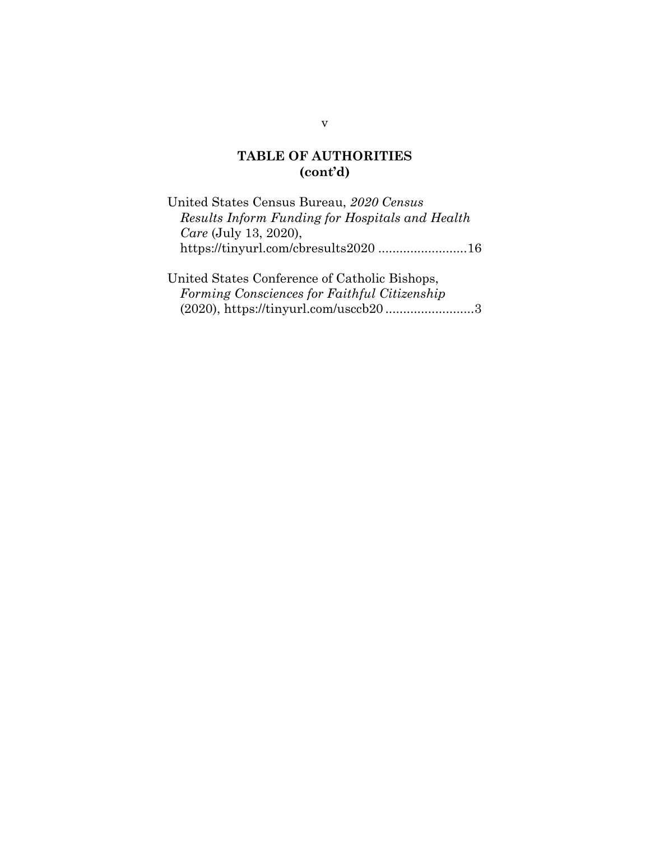#### **TABLE OF AUTHORITIES (cont'd)**

United States Census Bureau, *2020 Census Results Inform Funding for Hospitals and Health Care* (July 13, 2020), https://tinyurl.com/cbresults2020 ......................... 16

United States Conference of Catholic Bishops, *Forming Consciences for Faithful Citizenship* (2020), https://tinyurl.com/usccb20 ......................... 3

v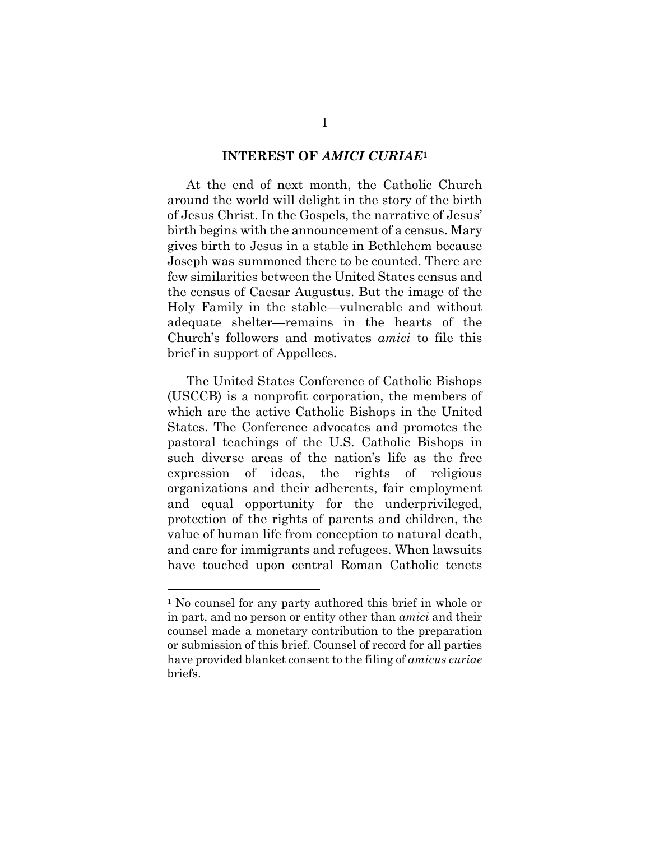#### **INTEREST OF** *AMICI CURIAE***<sup>1</sup>**

At the end of next month, the Catholic Church around the world will delight in the story of the birth of Jesus Christ. In the Gospels, the narrative of Jesus' birth begins with the announcement of a census. Mary gives birth to Jesus in a stable in Bethlehem because Joseph was summoned there to be counted. There are few similarities between the United States census and the census of Caesar Augustus. But the image of the Holy Family in the stable—vulnerable and without adequate shelter—remains in the hearts of the Church's followers and motivates *amici* to file this brief in support of Appellees.

The United States Conference of Catholic Bishops (USCCB) is a nonprofit corporation, the members of which are the active Catholic Bishops in the United States. The Conference advocates and promotes the pastoral teachings of the U.S. Catholic Bishops in such diverse areas of the nation's life as the free expression of ideas, the rights of religious organizations and their adherents, fair employment and equal opportunity for the underprivileged, protection of the rights of parents and children, the value of human life from conception to natural death, and care for immigrants and refugees. When lawsuits have touched upon central Roman Catholic tenets

 $\overline{a}$ 

<sup>1</sup> No counsel for any party authored this brief in whole or in part, and no person or entity other than *amici* and their counsel made a monetary contribution to the preparation or submission of this brief. Counsel of record for all parties have provided blanket consent to the filing of *amicus curiae* briefs.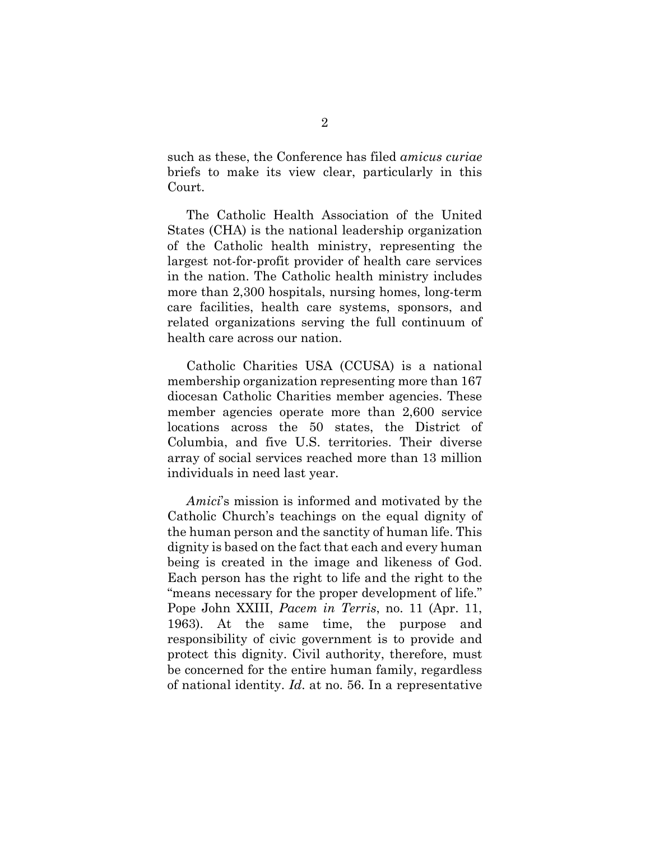such as these, the Conference has filed *amicus curiae* briefs to make its view clear, particularly in this Court.

The Catholic Health Association of the United States (CHA) is the national leadership organization of the Catholic health ministry, representing the largest not-for-profit provider of health care services in the nation. The Catholic health ministry includes more than 2,300 hospitals, nursing homes, long-term care facilities, health care systems, sponsors, and related organizations serving the full continuum of health care across our nation.

Catholic Charities USA (CCUSA) is a national membership organization representing more than 167 diocesan Catholic Charities member agencies. These member agencies operate more than 2,600 service locations across the 50 states, the District of Columbia, and five U.S. territories. Their diverse array of social services reached more than 13 million individuals in need last year.

*Amici*'s mission is informed and motivated by the Catholic Church's teachings on the equal dignity of the human person and the sanctity of human life. This dignity is based on the fact that each and every human being is created in the image and likeness of God. Each person has the right to life and the right to the "means necessary for the proper development of life." Pope John XXIII, *Pacem in Terris*, no. 11 (Apr. 11, 1963). At the same time, the purpose and responsibility of civic government is to provide and protect this dignity. Civil authority, therefore, must be concerned for the entire human family, regardless of national identity. *Id*. at no. 56. In a representative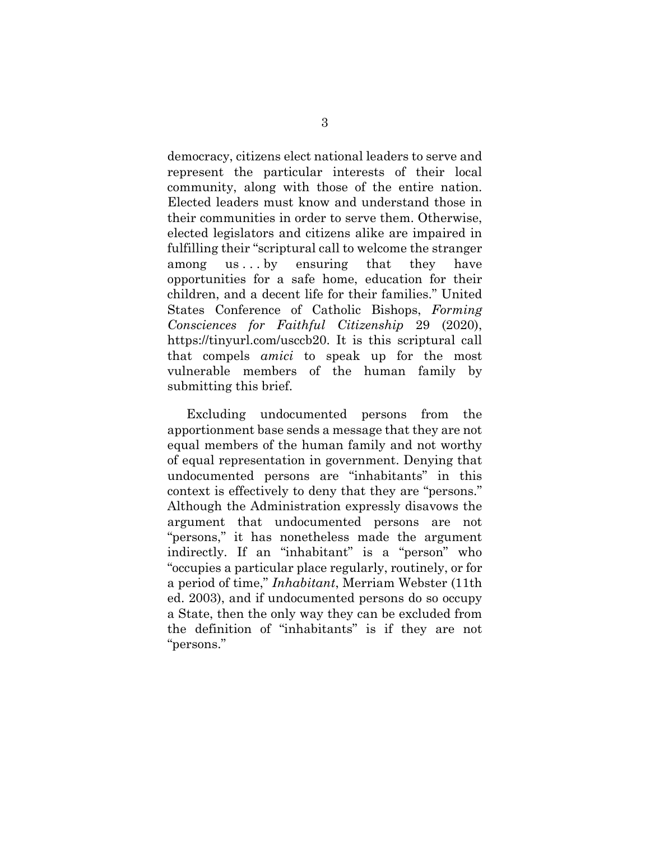democracy, citizens elect national leaders to serve and represent the particular interests of their local community, along with those of the entire nation. Elected leaders must know and understand those in their communities in order to serve them. Otherwise, elected legislators and citizens alike are impaired in fulfilling their "scriptural call to welcome the stranger among us...by ensuring that they have opportunities for a safe home, education for their children, and a decent life for their families." United States Conference of Catholic Bishops, *Forming Consciences for Faithful Citizenship* 29 (2020), https://tinyurl.com/usccb20. It is this scriptural call that compels *amici* to speak up for the most vulnerable members of the human family by submitting this brief.

Excluding undocumented persons from the apportionment base sends a message that they are not equal members of the human family and not worthy of equal representation in government. Denying that undocumented persons are "inhabitants" in this context is effectively to deny that they are "persons." Although the Administration expressly disavows the argument that undocumented persons are not "persons," it has nonetheless made the argument indirectly. If an "inhabitant" is a "person" who "occupies a particular place regularly, routinely, or for a period of time," *Inhabitant*, Merriam Webster (11th ed. 2003), and if undocumented persons do so occupy a State, then the only way they can be excluded from the definition of "inhabitants" is if they are not "persons."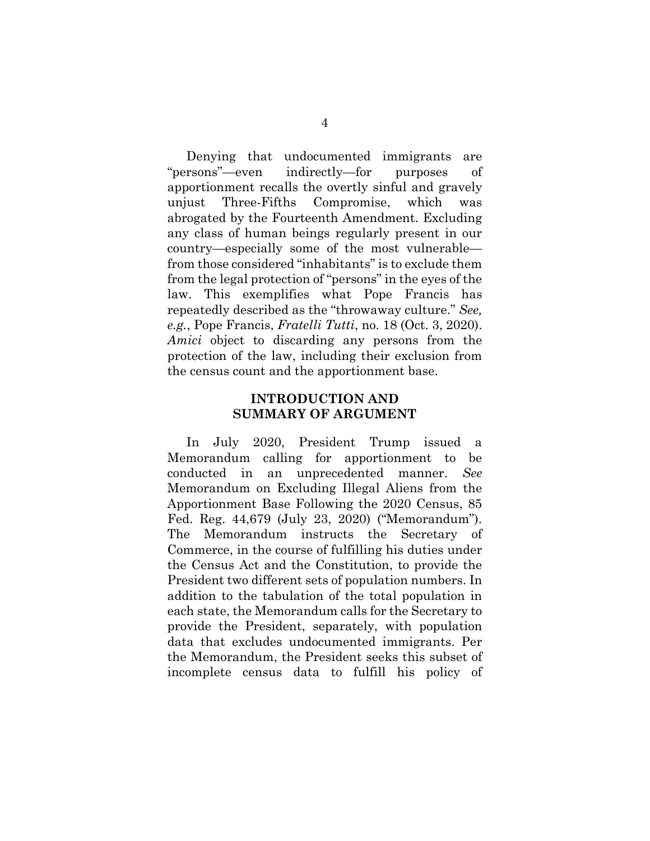Denying that undocumented immigrants are "persons"—even indirectly—for purposes of apportionment recalls the overtly sinful and gravely unjust Three-Fifths Compromise, which was abrogated by the Fourteenth Amendment. Excluding any class of human beings regularly present in our country—especially some of the most vulnerable from those considered "inhabitants" is to exclude them from the legal protection of "persons" in the eyes of the law. This exemplifies what Pope Francis has repeatedly described as the "throwaway culture." *See, e.g.*, Pope Francis, *Fratelli Tutti*, no. 18 (Oct. 3, 2020). *Amici* object to discarding any persons from the protection of the law, including their exclusion from the census count and the apportionment base.

#### **INTRODUCTION AND SUMMARY OF ARGUMENT**

In July 2020, President Trump issued a Memorandum calling for apportionment to be conducted in an unprecedented manner. *See* Memorandum on Excluding Illegal Aliens from the Apportionment Base Following the 2020 Census, 85 Fed. Reg. 44,679 (July 23, 2020) ("Memorandum"). The Memorandum instructs the Secretary of Commerce, in the course of fulfilling his duties under the Census Act and the Constitution, to provide the President two different sets of population numbers. In addition to the tabulation of the total population in each state, the Memorandum calls for the Secretary to provide the President, separately, with population data that excludes undocumented immigrants. Per the Memorandum, the President seeks this subset of incomplete census data to fulfill his policy of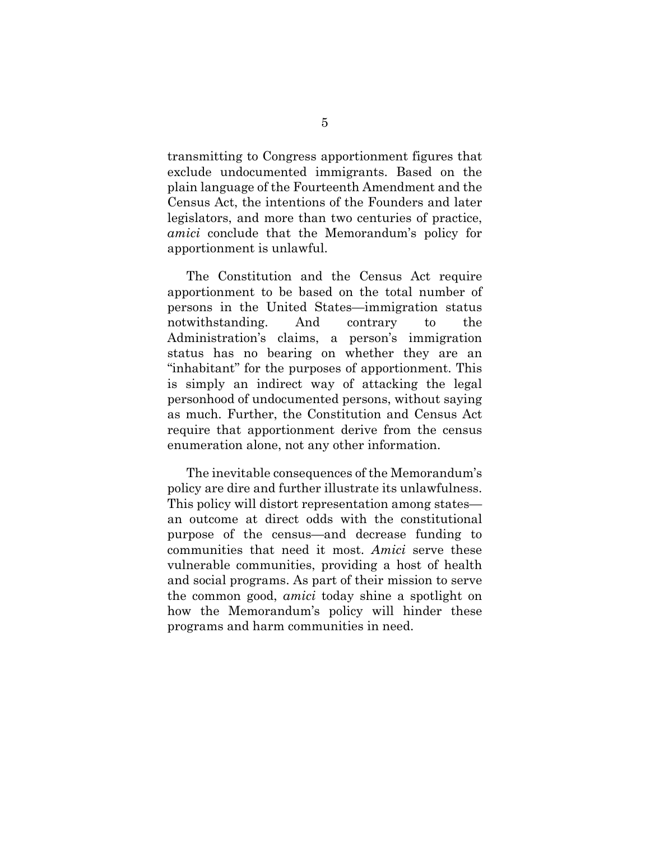transmitting to Congress apportionment figures that exclude undocumented immigrants. Based on the plain language of the Fourteenth Amendment and the Census Act, the intentions of the Founders and later legislators, and more than two centuries of practice, *amici* conclude that the Memorandum's policy for apportionment is unlawful.

The Constitution and the Census Act require apportionment to be based on the total number of persons in the United States—immigration status notwithstanding. And contrary to the Administration's claims, a person's immigration status has no bearing on whether they are an "inhabitant" for the purposes of apportionment. This is simply an indirect way of attacking the legal personhood of undocumented persons, without saying as much. Further, the Constitution and Census Act require that apportionment derive from the census enumeration alone, not any other information.

The inevitable consequences of the Memorandum's policy are dire and further illustrate its unlawfulness. This policy will distort representation among states an outcome at direct odds with the constitutional purpose of the census—and decrease funding to communities that need it most. *Amici* serve these vulnerable communities, providing a host of health and social programs. As part of their mission to serve the common good, *amici* today shine a spotlight on how the Memorandum's policy will hinder these programs and harm communities in need.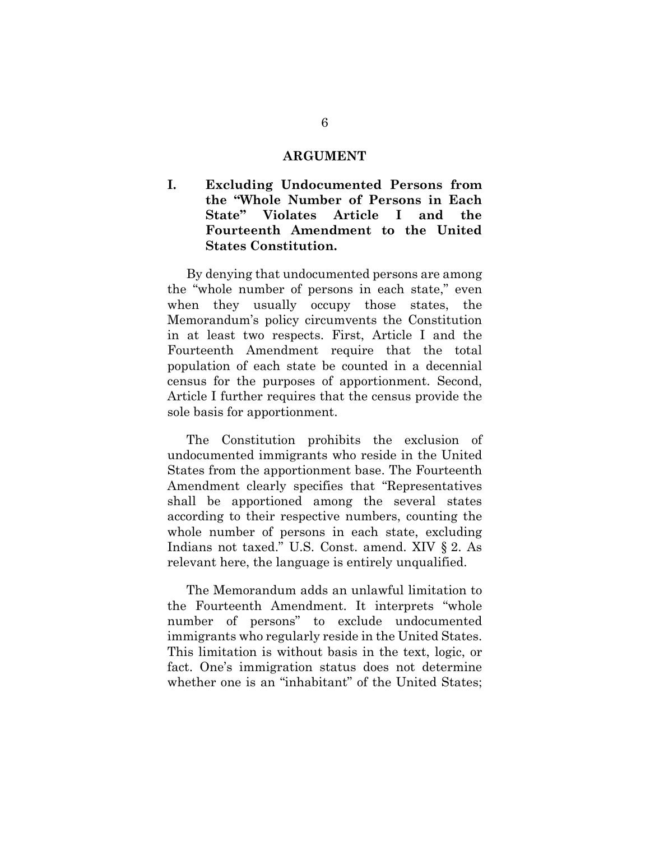#### **ARGUMENT**

**I. Excluding Undocumented Persons from the "Whole Number of Persons in Each State" Violates Article I and the Fourteenth Amendment to the United States Constitution.** 

By denying that undocumented persons are among the "whole number of persons in each state," even when they usually occupy those states, the Memorandum's policy circumvents the Constitution in at least two respects. First, Article I and the Fourteenth Amendment require that the total population of each state be counted in a decennial census for the purposes of apportionment. Second, Article I further requires that the census provide the sole basis for apportionment.

The Constitution prohibits the exclusion of undocumented immigrants who reside in the United States from the apportionment base. The Fourteenth Amendment clearly specifies that "Representatives shall be apportioned among the several states according to their respective numbers, counting the whole number of persons in each state, excluding Indians not taxed." U.S. Const. amend. XIV § 2. As relevant here, the language is entirely unqualified.

The Memorandum adds an unlawful limitation to the Fourteenth Amendment. It interprets "whole number of persons" to exclude undocumented immigrants who regularly reside in the United States. This limitation is without basis in the text, logic, or fact. One's immigration status does not determine whether one is an "inhabitant" of the United States;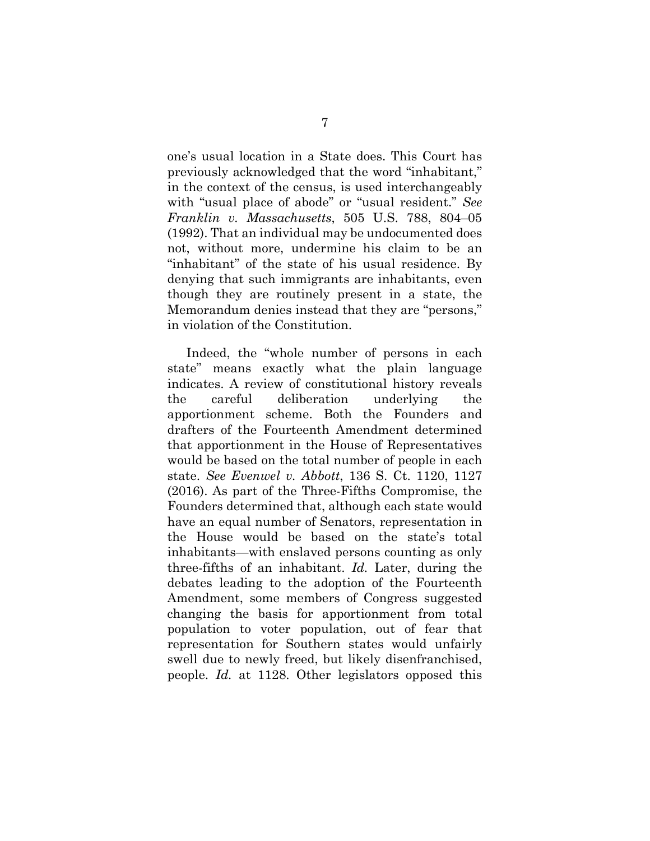one's usual location in a State does. This Court has previously acknowledged that the word "inhabitant," in the context of the census, is used interchangeably with "usual place of abode" or "usual resident." *See Franklin v. Massachusetts*, 505 U.S. 788, 804–05 (1992). That an individual may be undocumented does not, without more, undermine his claim to be an "inhabitant" of the state of his usual residence. By denying that such immigrants are inhabitants, even though they are routinely present in a state, the Memorandum denies instead that they are "persons," in violation of the Constitution.

Indeed, the "whole number of persons in each state" means exactly what the plain language indicates. A review of constitutional history reveals the careful deliberation underlying the apportionment scheme. Both the Founders and drafters of the Fourteenth Amendment determined that apportionment in the House of Representatives would be based on the total number of people in each state. *See Evenwel v. Abbott*, 136 S. Ct. 1120, 1127 (2016). As part of the Three-Fifths Compromise, the Founders determined that, although each state would have an equal number of Senators, representation in the House would be based on the state's total inhabitants—with enslaved persons counting as only three-fifths of an inhabitant. *Id.* Later, during the debates leading to the adoption of the Fourteenth Amendment, some members of Congress suggested changing the basis for apportionment from total population to voter population, out of fear that representation for Southern states would unfairly swell due to newly freed, but likely disenfranchised, people. *Id.* at 1128. Other legislators opposed this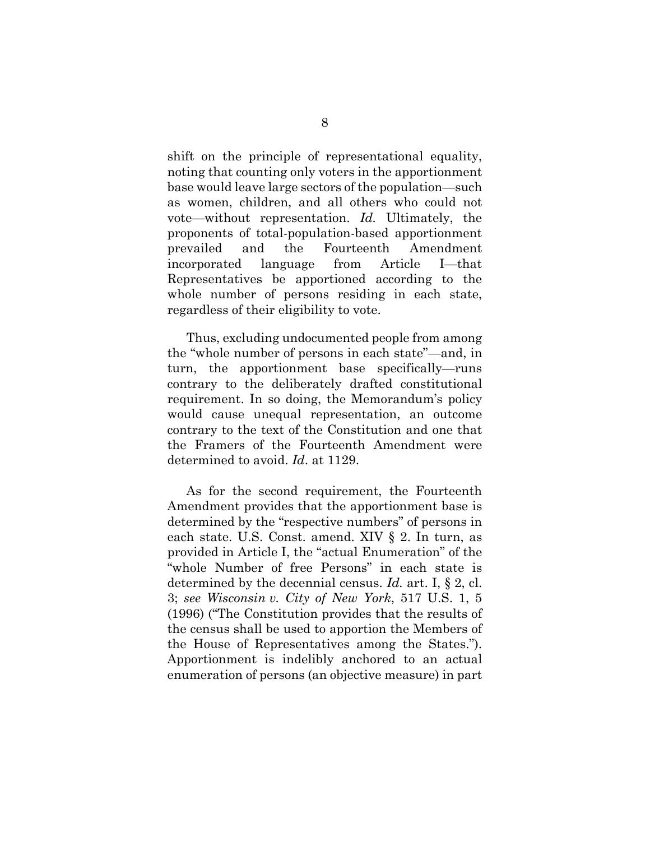shift on the principle of representational equality, noting that counting only voters in the apportionment base would leave large sectors of the population—such as women, children, and all others who could not vote—without representation. *Id.* Ultimately, the proponents of total-population-based apportionment prevailed and the Fourteenth Amendment incorporated language from Article I—that Representatives be apportioned according to the whole number of persons residing in each state, regardless of their eligibility to vote.

Thus, excluding undocumented people from among the "whole number of persons in each state"—and, in turn, the apportionment base specifically—runs contrary to the deliberately drafted constitutional requirement. In so doing, the Memorandum's policy would cause unequal representation, an outcome contrary to the text of the Constitution and one that the Framers of the Fourteenth Amendment were determined to avoid. *Id*. at 1129.

As for the second requirement, the Fourteenth Amendment provides that the apportionment base is determined by the "respective numbers" of persons in each state. U.S. Const. amend. XIV § 2. In turn, as provided in Article I, the "actual Enumeration" of the "whole Number of free Persons" in each state is determined by the decennial census. *Id.* art. I, § 2, cl. 3; *see Wisconsin v. City of New York*, 517 U.S. 1, 5 (1996) ("The Constitution provides that the results of the census shall be used to apportion the Members of the House of Representatives among the States."). Apportionment is indelibly anchored to an actual enumeration of persons (an objective measure) in part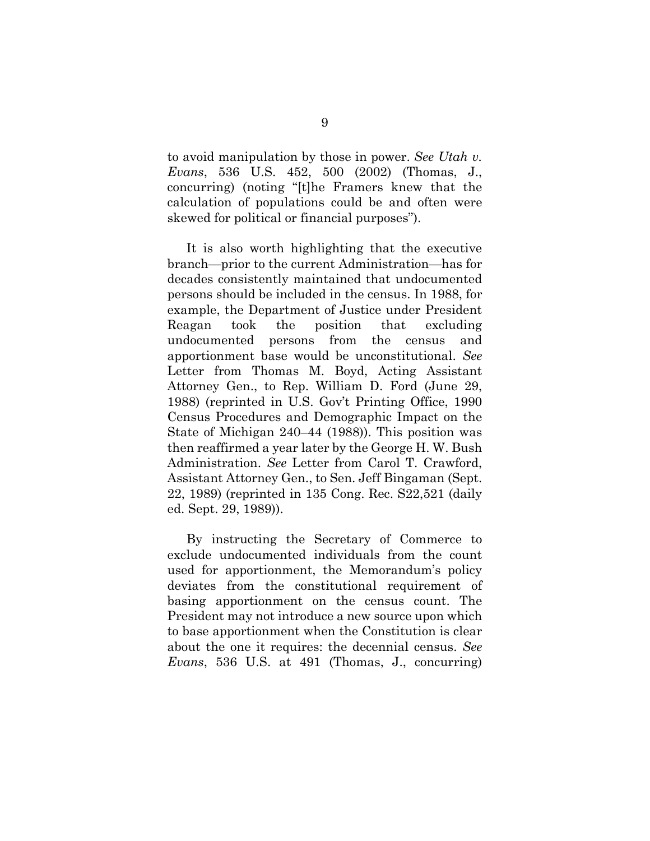to avoid manipulation by those in power. *See Utah v. Evans*, 536 U.S. 452, 500 (2002) (Thomas, J., concurring) (noting "[t]he Framers knew that the calculation of populations could be and often were skewed for political or financial purposes").

It is also worth highlighting that the executive branch—prior to the current Administration—has for decades consistently maintained that undocumented persons should be included in the census. In 1988, for example, the Department of Justice under President Reagan took the position that excluding undocumented persons from the census and apportionment base would be unconstitutional. *See* Letter from Thomas M. Boyd, Acting Assistant Attorney Gen., to Rep. William D. Ford (June 29, 1988) (reprinted in U.S. Gov't Printing Office, 1990 Census Procedures and Demographic Impact on the State of Michigan 240–44 (1988)). This position was then reaffirmed a year later by the George H. W. Bush Administration. *See* Letter from Carol T. Crawford, Assistant Attorney Gen., to Sen. Jeff Bingaman (Sept. 22, 1989) (reprinted in 135 Cong. Rec. S22,521 (daily ed. Sept. 29, 1989)).

By instructing the Secretary of Commerce to exclude undocumented individuals from the count used for apportionment, the Memorandum's policy deviates from the constitutional requirement of basing apportionment on the census count. The President may not introduce a new source upon which to base apportionment when the Constitution is clear about the one it requires: the decennial census. *See Evans*, 536 U.S. at 491 (Thomas, J., concurring)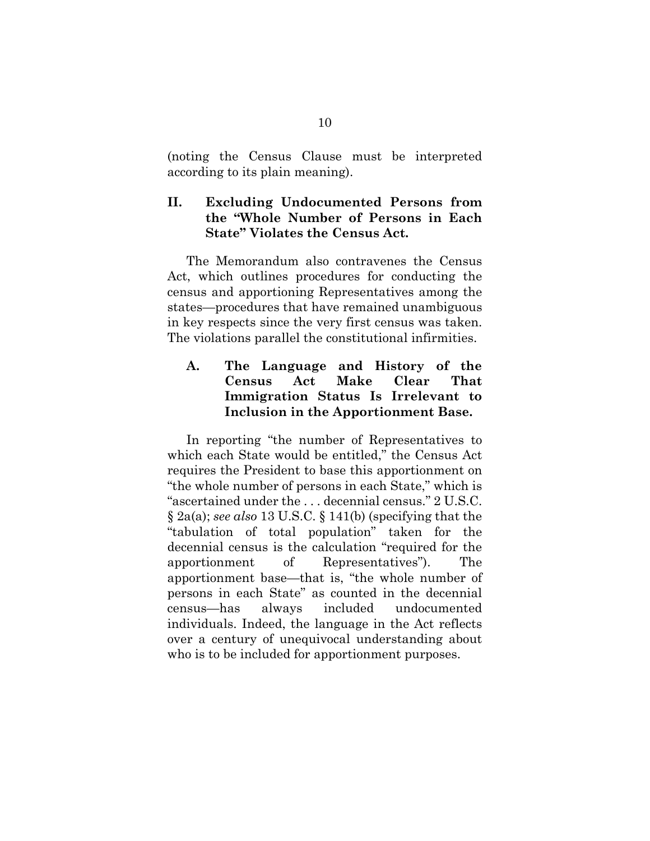(noting the Census Clause must be interpreted according to its plain meaning).

#### **II. Excluding Undocumented Persons from the "Whole Number of Persons in Each State" Violates the Census Act.**

The Memorandum also contravenes the Census Act, which outlines procedures for conducting the census and apportioning Representatives among the states—procedures that have remained unambiguous in key respects since the very first census was taken. The violations parallel the constitutional infirmities.

#### **A. The Language and History of the Census Act Make Clear That Immigration Status Is Irrelevant to Inclusion in the Apportionment Base.**

In reporting "the number of Representatives to which each State would be entitled," the Census Act requires the President to base this apportionment on "the whole number of persons in each State," which is "ascertained under the . . . decennial census." 2 U.S.C. § 2a(a); *see also* 13 U.S.C. § 141(b) (specifying that the "tabulation of total population" taken for the decennial census is the calculation "required for the apportionment of Representatives"). The apportionment base—that is, "the whole number of persons in each State" as counted in the decennial census—has always included undocumented individuals. Indeed, the language in the Act reflects over a century of unequivocal understanding about who is to be included for apportionment purposes.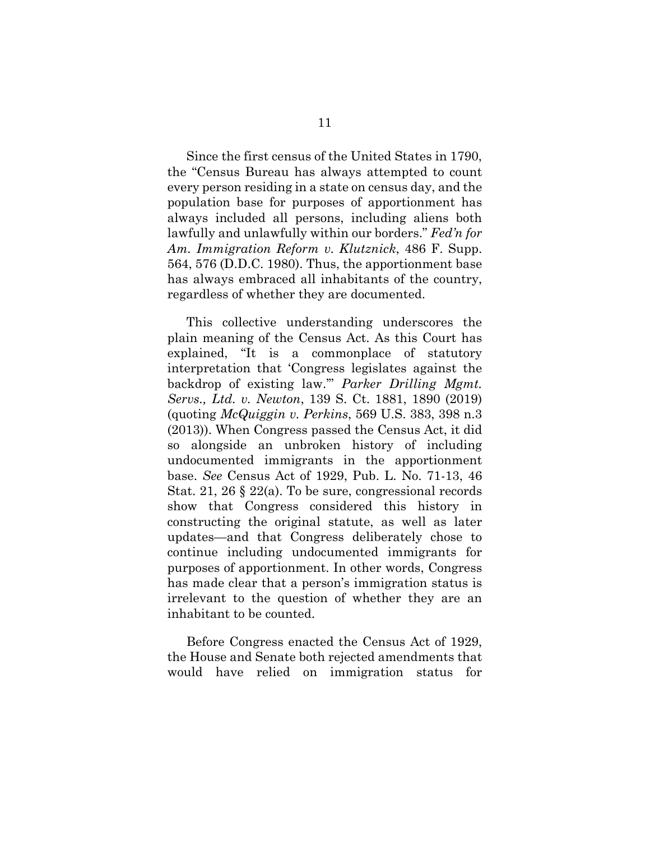Since the first census of the United States in 1790, the "Census Bureau has always attempted to count every person residing in a state on census day, and the population base for purposes of apportionment has always included all persons, including aliens both lawfully and unlawfully within our borders." *Fed'n for Am. Immigration Reform v. Klutznick*, 486 F. Supp. 564, 576 (D.D.C. 1980). Thus, the apportionment base has always embraced all inhabitants of the country, regardless of whether they are documented.

This collective understanding underscores the plain meaning of the Census Act. As this Court has explained, "It is a commonplace of statutory interpretation that 'Congress legislates against the backdrop of existing law.'" *Parker Drilling Mgmt. Servs., Ltd. v. Newton*, 139 S. Ct. 1881, 1890 (2019) (quoting *McQuiggin v. Perkins*, 569 U.S. 383, 398 n.3 (2013)). When Congress passed the Census Act, it did so alongside an unbroken history of including undocumented immigrants in the apportionment base. *See* Census Act of 1929, Pub. L. No. 71-13, 46 Stat. 21, 26 § 22(a). To be sure, congressional records show that Congress considered this history in constructing the original statute, as well as later updates—and that Congress deliberately chose to continue including undocumented immigrants for purposes of apportionment. In other words, Congress has made clear that a person's immigration status is irrelevant to the question of whether they are an inhabitant to be counted.

Before Congress enacted the Census Act of 1929, the House and Senate both rejected amendments that would have relied on immigration status for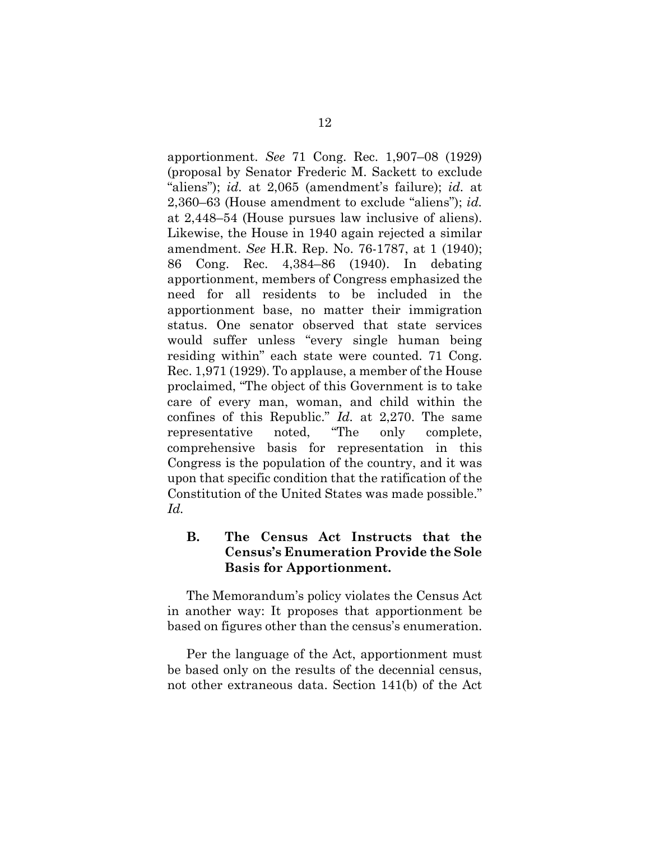apportionment. *See* 71 Cong. Rec. 1,907–08 (1929) (proposal by Senator Frederic M. Sackett to exclude "aliens"); *id.* at 2,065 (amendment's failure); *id.* at 2,360–63 (House amendment to exclude "aliens"); *id.* at 2,448–54 (House pursues law inclusive of aliens). Likewise, the House in 1940 again rejected a similar amendment. *See* H.R. Rep. No. 76-1787, at 1 (1940); 86 Cong. Rec. 4,384–86 (1940). In debating apportionment, members of Congress emphasized the need for all residents to be included in the apportionment base, no matter their immigration status. One senator observed that state services would suffer unless "every single human being residing within" each state were counted. 71 Cong. Rec. 1,971 (1929). To applause, a member of the House proclaimed, "The object of this Government is to take care of every man, woman, and child within the confines of this Republic." *Id.* at 2,270. The same representative noted, "The only complete, comprehensive basis for representation in this Congress is the population of the country, and it was upon that specific condition that the ratification of the Constitution of the United States was made possible." *Id.*

#### **B. The Census Act Instructs that the Census's Enumeration Provide the Sole Basis for Apportionment.**

The Memorandum's policy violates the Census Act in another way: It proposes that apportionment be based on figures other than the census's enumeration.

Per the language of the Act, apportionment must be based only on the results of the decennial census, not other extraneous data. Section 141(b) of the Act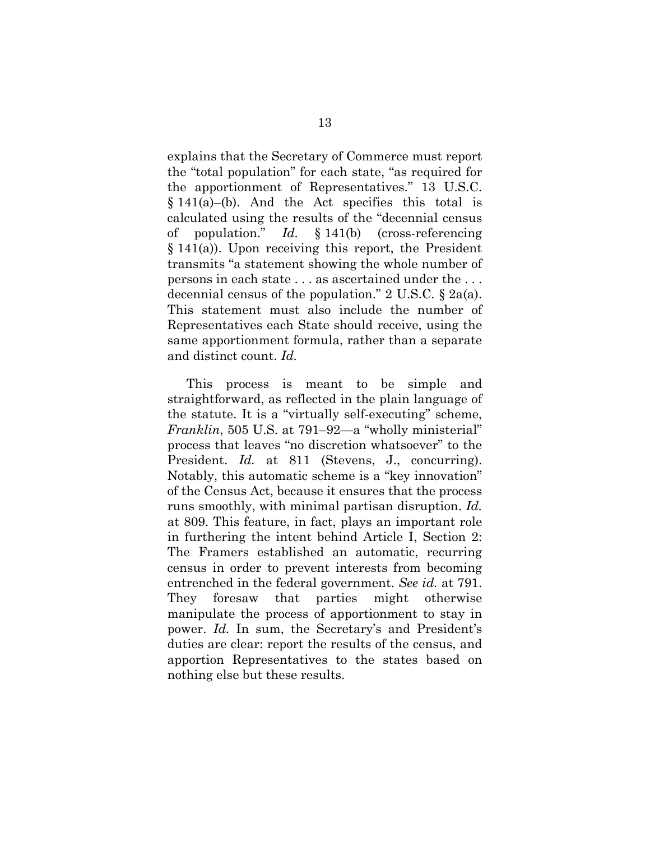explains that the Secretary of Commerce must report the "total population" for each state, "as required for the apportionment of Representatives." 13 U.S.C.  $§ 141(a)–(b)$ . And the Act specifies this total is calculated using the results of the "decennial census of population." *Id.* § 141(b) (cross-referencing § 141(a)). Upon receiving this report, the President transmits "a statement showing the whole number of persons in each state . . . as ascertained under the . . . decennial census of the population." 2 U.S.C. § 2a(a). This statement must also include the number of Representatives each State should receive, using the same apportionment formula, rather than a separate and distinct count. *Id.*

This process is meant to be simple and straightforward, as reflected in the plain language of the statute. It is a "virtually self-executing" scheme, *Franklin*, 505 U.S. at 791–92—a "wholly ministerial" process that leaves "no discretion whatsoever" to the President. *Id.* at 811 (Stevens, J., concurring). Notably, this automatic scheme is a "key innovation" of the Census Act, because it ensures that the process runs smoothly, with minimal partisan disruption. *Id.* at 809. This feature, in fact, plays an important role in furthering the intent behind Article I, Section 2: The Framers established an automatic, recurring census in order to prevent interests from becoming entrenched in the federal government. *See id.* at 791. They foresaw that parties might otherwise manipulate the process of apportionment to stay in power. *Id.* In sum, the Secretary's and President's duties are clear: report the results of the census, and apportion Representatives to the states based on nothing else but these results.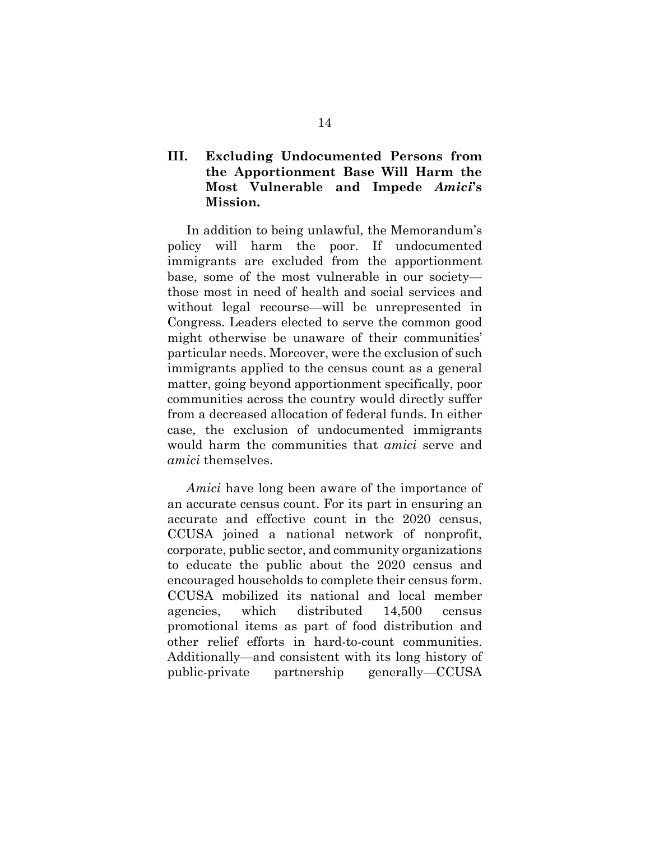### **III. Excluding Undocumented Persons from the Apportionment Base Will Harm the Most Vulnerable and Impede** *Amici***'s Mission.**

In addition to being unlawful, the Memorandum's policy will harm the poor. If undocumented immigrants are excluded from the apportionment base, some of the most vulnerable in our society those most in need of health and social services and without legal recourse—will be unrepresented in Congress. Leaders elected to serve the common good might otherwise be unaware of their communities' particular needs. Moreover, were the exclusion of such immigrants applied to the census count as a general matter, going beyond apportionment specifically, poor communities across the country would directly suffer from a decreased allocation of federal funds. In either case, the exclusion of undocumented immigrants would harm the communities that *amici* serve and *amici* themselves.

*Amici* have long been aware of the importance of an accurate census count. For its part in ensuring an accurate and effective count in the 2020 census, CCUSA joined a national network of nonprofit, corporate, public sector, and community organizations to educate the public about the 2020 census and encouraged households to complete their census form. CCUSA mobilized its national and local member agencies, which distributed 14,500 census promotional items as part of food distribution and other relief efforts in hard-to-count communities. Additionally—and consistent with its long history of public-private partnership generally—CCUSA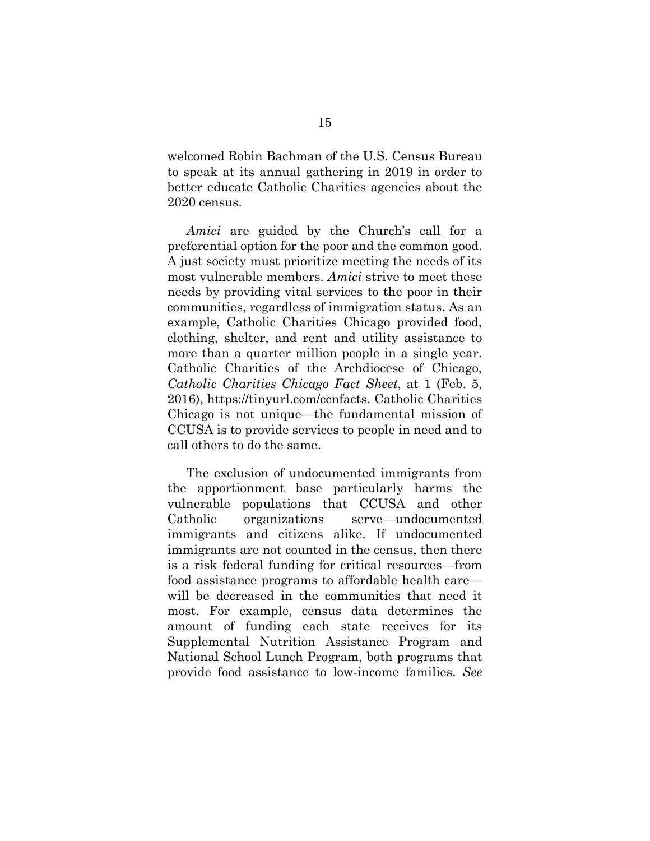welcomed Robin Bachman of the U.S. Census Bureau to speak at its annual gathering in 2019 in order to better educate Catholic Charities agencies about the 2020 census.

*Amici* are guided by the Church's call for a preferential option for the poor and the common good. A just society must prioritize meeting the needs of its most vulnerable members. *Amici* strive to meet these needs by providing vital services to the poor in their communities, regardless of immigration status. As an example, Catholic Charities Chicago provided food, clothing, shelter, and rent and utility assistance to more than a quarter million people in a single year. Catholic Charities of the Archdiocese of Chicago, *Catholic Charities Chicago Fact Sheet*, at 1 (Feb. 5, 2016), https://tinyurl.com/ccnfacts. Catholic Charities Chicago is not unique—the fundamental mission of CCUSA is to provide services to people in need and to call others to do the same.

The exclusion of undocumented immigrants from the apportionment base particularly harms the vulnerable populations that CCUSA and other Catholic organizations serve—undocumented immigrants and citizens alike. If undocumented immigrants are not counted in the census, then there is a risk federal funding for critical resources—from food assistance programs to affordable health care will be decreased in the communities that need it most. For example, census data determines the amount of funding each state receives for its Supplemental Nutrition Assistance Program and National School Lunch Program, both programs that provide food assistance to low-income families. *See*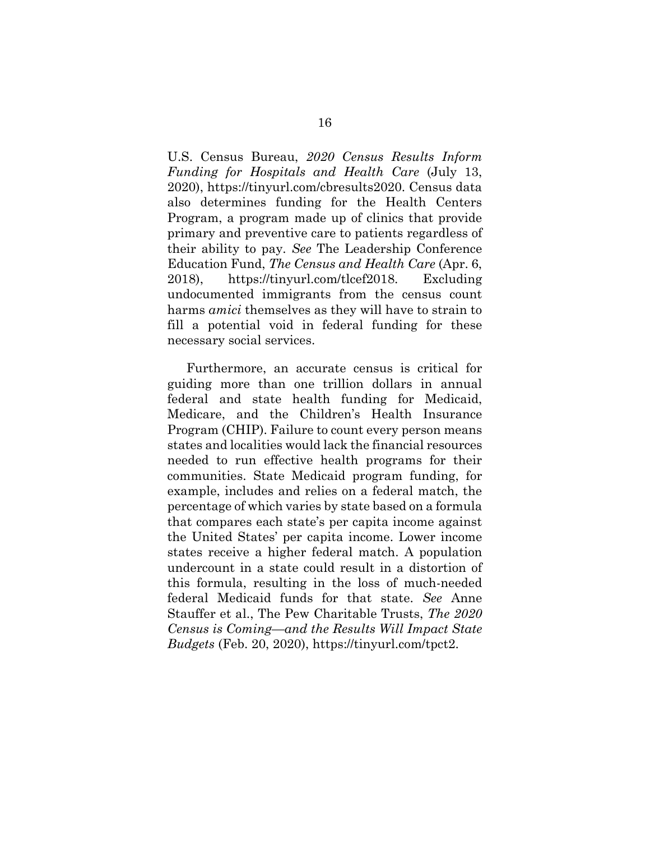U.S. Census Bureau, *2020 Census Results Inform Funding for Hospitals and Health Care* (July 13, 2020), https://tinyurl.com/cbresults2020. Census data also determines funding for the Health Centers Program, a program made up of clinics that provide primary and preventive care to patients regardless of their ability to pay. *See* The Leadership Conference Education Fund, *The Census and Health Care* (Apr. 6, 2018), https://tinyurl.com/tlcef2018. Excluding undocumented immigrants from the census count harms *amici* themselves as they will have to strain to fill a potential void in federal funding for these necessary social services.

Furthermore, an accurate census is critical for guiding more than one trillion dollars in annual federal and state health funding for Medicaid, Medicare, and the Children's Health Insurance Program (CHIP). Failure to count every person means states and localities would lack the financial resources needed to run effective health programs for their communities. State Medicaid program funding, for example, includes and relies on a federal match, the percentage of which varies by state based on a formula that compares each state's per capita income against the United States' per capita income. Lower income states receive a higher federal match. A population undercount in a state could result in a distortion of this formula, resulting in the loss of much-needed federal Medicaid funds for that state. *See* Anne Stauffer et al., The Pew Charitable Trusts, *The 2020 Census is Coming—and the Results Will Impact State Budgets* (Feb. 20, 2020), https://tinyurl.com/tpct2.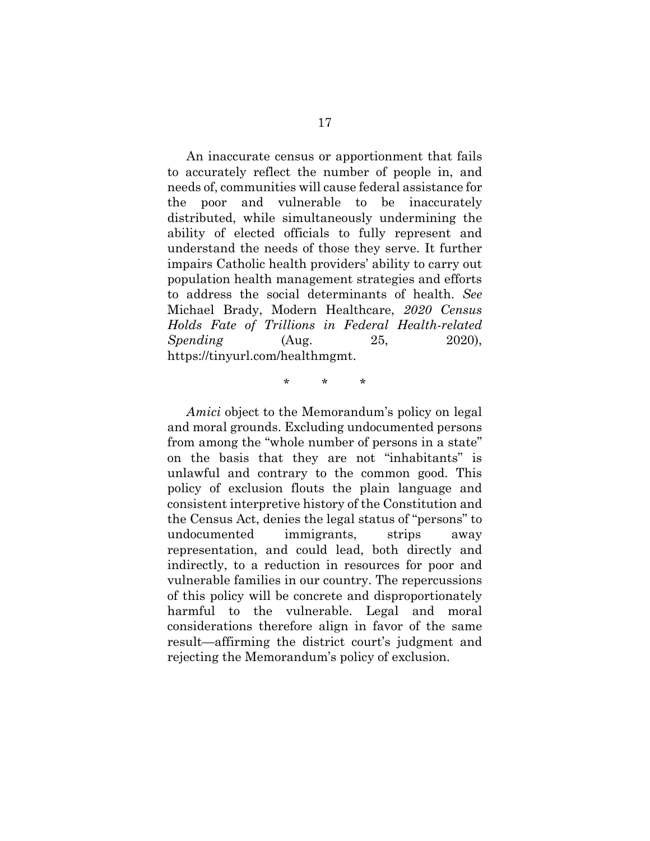An inaccurate census or apportionment that fails to accurately reflect the number of people in, and needs of, communities will cause federal assistance for the poor and vulnerable to be inaccurately distributed, while simultaneously undermining the ability of elected officials to fully represent and understand the needs of those they serve. It further impairs Catholic health providers' ability to carry out population health management strategies and efforts to address the social determinants of health. *See*  Michael Brady, Modern Healthcare, *2020 Census Holds Fate of Trillions in Federal Health-related Spending* (Aug. 25, 2020), https://tinyurl.com/healthmgmt.

\* \* \*

*Amici* object to the Memorandum's policy on legal and moral grounds. Excluding undocumented persons from among the "whole number of persons in a state" on the basis that they are not "inhabitants" is unlawful and contrary to the common good. This policy of exclusion flouts the plain language and consistent interpretive history of the Constitution and the Census Act, denies the legal status of "persons" to undocumented immigrants, strips away representation, and could lead, both directly and indirectly, to a reduction in resources for poor and vulnerable families in our country. The repercussions of this policy will be concrete and disproportionately harmful to the vulnerable. Legal and moral considerations therefore align in favor of the same result—affirming the district court's judgment and rejecting the Memorandum's policy of exclusion.